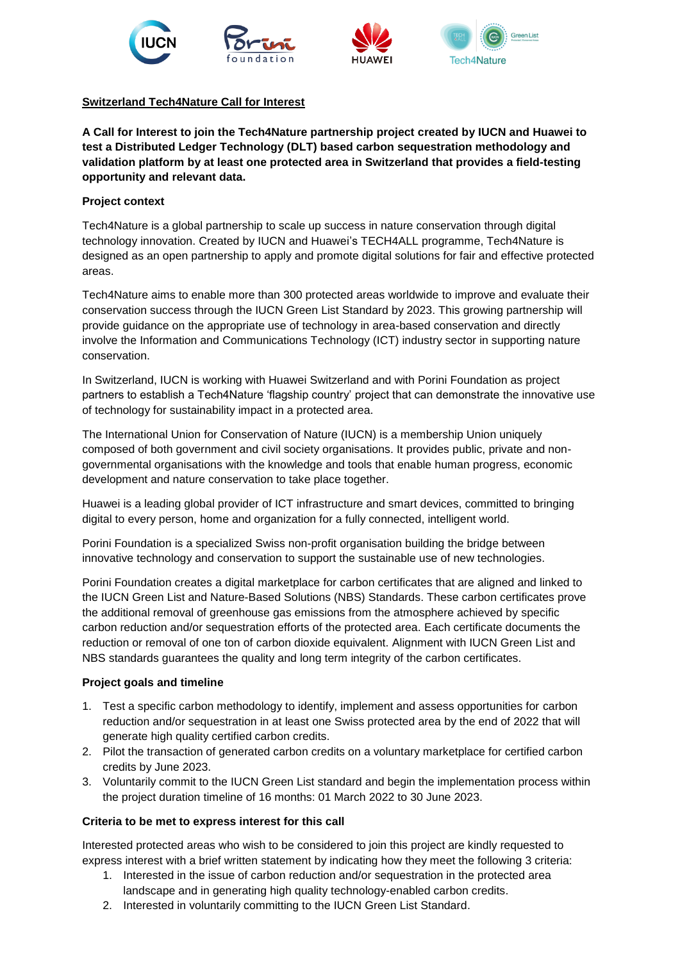

## **Switzerland Tech4Nature Call for Interest**

**A Call for Interest to join the Tech4Nature partnership project created by IUCN and Huawei to test a Distributed Ledger Technology (DLT) based carbon sequestration methodology and validation platform by at least one protected area in Switzerland that provides a field-testing opportunity and relevant data.**

## **Project context**

Tech4Nature is a global partnership to scale up success in nature conservation through digital technology innovation. Created by IUCN and Huawei's TECH4ALL programme, Tech4Nature is designed as an open partnership to apply and promote digital solutions for fair and effective protected areas.

Tech4Nature aims to enable more than 300 protected areas worldwide to improve and evaluate their conservation success through the IUCN Green List Standard by 2023. This growing partnership will provide guidance on the appropriate use of technology in area-based conservation and directly involve the Information and Communications Technology (ICT) industry sector in supporting nature conservation.

In Switzerland, IUCN is working with Huawei Switzerland and with Porini Foundation as project partners to establish a Tech4Nature 'flagship country' project that can demonstrate the innovative use of technology for sustainability impact in a protected area.

The International Union for Conservation of Nature (IUCN) is a membership Union uniquely composed of both government and civil society organisations. It provides public, private and nongovernmental organisations with the knowledge and tools that enable human progress, economic development and nature conservation to take place together.

Huawei is a leading global provider of ICT infrastructure and smart devices, committed to bringing digital to every person, home and organization for a fully connected, intelligent world.

Porini Foundation is a specialized Swiss non-profit organisation building the bridge between innovative technology and conservation to support the sustainable use of new technologies.

Porini Foundation creates a digital marketplace for carbon certificates that are aligned and linked to the IUCN Green List and Nature-Based Solutions (NBS) Standards. These carbon certificates prove the additional removal of greenhouse gas emissions from the atmosphere achieved by specific carbon reduction and/or sequestration efforts of the protected area. Each certificate documents the reduction or removal of one ton of carbon dioxide equivalent. Alignment with IUCN Green List and NBS standards guarantees the quality and long term integrity of the carbon certificates.

## **Project goals and timeline**

- 1. Test a specific carbon methodology to identify, implement and assess opportunities for carbon reduction and/or sequestration in at least one Swiss protected area by the end of 2022 that will generate high quality certified carbon credits.
- 2. Pilot the transaction of generated carbon credits on a voluntary marketplace for certified carbon credits by June 2023.
- 3. Voluntarily commit to the IUCN Green List standard and begin the implementation process within the project duration timeline of 16 months: 01 March 2022 to 30 June 2023.

## **Criteria to be met to express interest for this call**

Interested protected areas who wish to be considered to join this project are kindly requested to express interest with a brief written statement by indicating how they meet the following 3 criteria:

- 1. Interested in the issue of carbon reduction and/or sequestration in the protected area landscape and in generating high quality technology-enabled carbon credits.
- 2. Interested in voluntarily committing to the IUCN Green List Standard.